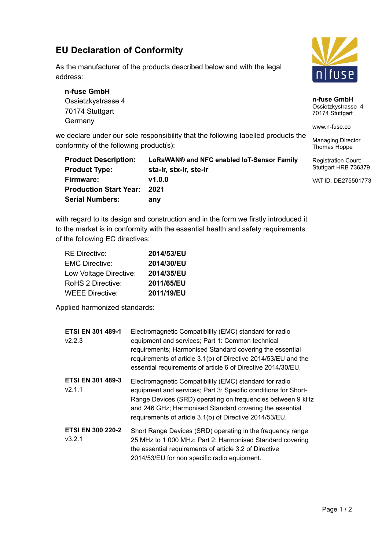## **EU Declaration of Conformity**

As the manufacturer of the products described below and with the legal address:

**n-fuse GmbH** Ossietzkystrasse 4 70174 Stuttgart **Germany** 

we declare under our sole responsibility that the following labelled products the conformity of the following product(s):

| <b>Product Description:</b>   | LoRaWAN® and NFC enabled IoT-Sensor Family | R |
|-------------------------------|--------------------------------------------|---|
| <b>Product Type:</b>          | sta-Ir, stx-Ir, ste-Ir                     | S |
| Firmware:                     | V1.0.0                                     | V |
| <b>Production Start Year:</b> | 2021                                       |   |
| <b>Serial Numbers:</b>        | anv                                        |   |

with regard to its design and construction and in the form we firstly introduced it to the market is in conformity with the essential health and safety requirements of the following EC directives:

| <b>RE Directive:</b>   | 2014/53/EU |
|------------------------|------------|
| <b>EMC Directive:</b>  | 2014/30/EU |
| Low Voltage Directive: | 2014/35/EU |
| RoHS 2 Directive:      | 2011/65/EU |
| <b>WEEE Directive:</b> | 2011/19/EU |

Applied harmonized standards:

| <b>ETSI EN 301 489-1</b><br>V2.2.3 | Electromagnetic Compatibility (EMC) standard for radio<br>equipment and services; Part 1: Common technical<br>requirements; Harmonised Standard covering the essential<br>requirements of article 3.1(b) of Directive 2014/53/EU and the<br>essential requirements of article 6 of Directive 2014/30/EU.     |
|------------------------------------|--------------------------------------------------------------------------------------------------------------------------------------------------------------------------------------------------------------------------------------------------------------------------------------------------------------|
| <b>ETSI EN 301 489-3</b><br>v2.1.1 | Electromagnetic Compatibility (EMC) standard for radio<br>equipment and services; Part 3: Specific conditions for Short-<br>Range Devices (SRD) operating on frequencies between 9 kHz<br>and 246 GHz; Harmonised Standard covering the essential<br>requirements of article 3.1(b) of Directive 2014/53/EU. |
| <b>ETSI EN 300 220-2</b><br>V3.2.1 | Short Range Devices (SRD) operating in the frequency range<br>25 MHz to 1 000 MHz; Part 2: Harmonised Standard covering<br>the essential requirements of article 3.2 of Directive<br>2014/53/EU for non specific radio equipment.                                                                            |



**n-fuse GmbH** Ossietzkystrasse 4 70174 Stuttgart

www.n-fuse.co

Managing Director Thomas Hoppe

egistration Court: tuttgart HRB 736379

VAT ID: DE275501773